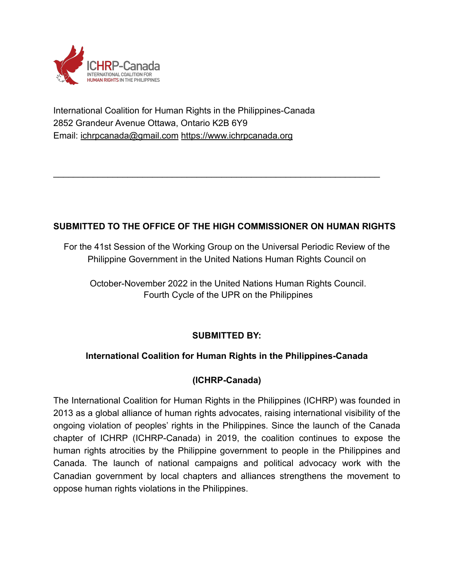

International Coalition for Human Rights in the Philippines-Canada 2852 Grandeur Avenue Ottawa, Ontario K2B 6Y9 Email: ichrpcanada@gmail.com [https://www.ichrpcanada.org](https://www.ichrpcanada.org/)

# **SUBMITTED TO THE OFFICE OF THE HIGH COMMISSIONER ON HUMAN RIGHTS**

\_\_\_\_\_\_\_\_\_\_\_\_\_\_\_\_\_\_\_\_\_\_\_\_\_\_\_\_\_\_\_\_\_\_\_\_\_\_\_\_\_\_\_\_\_\_\_\_\_\_\_\_\_\_\_\_\_\_\_\_\_\_\_\_\_\_

For the 41st Session of the Working Group on the Universal Periodic Review of the Philippine Government in the United Nations Human Rights Council on

October-November 2022 in the United Nations Human Rights Council. Fourth Cycle of the UPR on the Philippines

## **SUBMITTED BY:**

## **International Coalition for Human Rights in the Philippines-Canada**

## **(ICHRP-Canada)**

The International Coalition for Human Rights in the Philippines (ICHRP) was founded in 2013 as a global alliance of human rights advocates, raising international visibility of the ongoing violation of peoples' rights in the Philippines. Since the launch of the Canada chapter of ICHRP (ICHRP-Canada) in 2019, the coalition continues to expose the human rights atrocities by the Philippine government to people in the Philippines and Canada. The launch of national campaigns and political advocacy work with the Canadian government by local chapters and alliances strengthens the movement to oppose human rights violations in the Philippines.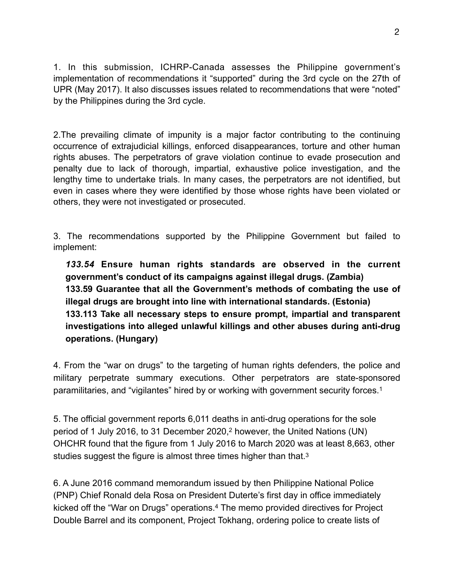1. In this submission, ICHRP-Canada assesses the Philippine government's implementation of recommendations it "supported" during the 3rd cycle on the 27th of UPR (May 2017). It also discusses issues related to recommendations that were "noted" by the Philippines during the 3rd cycle.

2.The prevailing climate of impunity is a major factor contributing to the continuing occurrence of extrajudicial killings, enforced disappearances, torture and other human rights abuses. The perpetrators of grave violation continue to evade prosecution and penalty due to lack of thorough, impartial, exhaustive police investigation, and the lengthy time to undertake trials. In many cases, the perpetrators are not identified, but even in cases where they were identified by those whose rights have been violated or others, they were not investigated or prosecuted.

3. The recommendations supported by the Philippine Government but failed to implement:

*133.54* **Ensure human rights standards are observed in the current government's conduct of its campaigns against illegal drugs. (Zambia) 133.59 Guarantee that all the Government's methods of combating the use of illegal drugs are brought into line with international standards. (Estonia) 133.113 Take all necessary steps to ensure prompt, impartial and transparent investigations into alleged unlawful killings and other abuses during anti-drug operations. (Hungary)**

<span id="page-1-0"></span>4. From the "war on drugs" to the targeting of human rights defenders, the police and military perpetrate summary executions. Other perpetrators are state-sponsored paramilitaries, and "vigilantes" hired by or working with government security forces.[1](#page-8-0)

<span id="page-1-1"></span>5. The official government reports 6,011 deaths in anti-drug operations for the sole period of 1 July [2](#page-8-1)016, to 31 December 2020, however, the United Nations (UN) OHCHR found that the figure from 1 July 2016 to March 2020 was at least 8,663, other studies suggest the figure is almost three times higher than that.<sup>3</sup>

<span id="page-1-3"></span><span id="page-1-2"></span>6. A June 2016 command memorandum issued by then Philippine National Police (PNP) Chief Ronald dela Rosa on President Duterte's first day in office immediately kicked off the "War on Drugs" operations.<sup>4</sup> The memo provided directives for Project Double Barrel and its component, Project Tokhang, ordering police to create lists of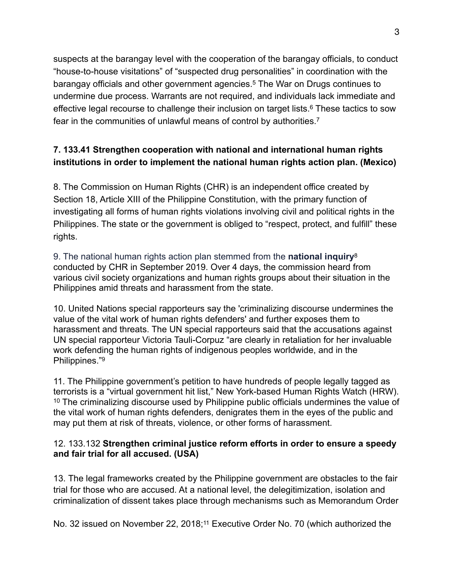<span id="page-2-0"></span>suspects at the barangay level with the cooperation of the barangay officials, to conduct "house-to-house visitations" of "suspected drug personalities" in coordination with the barangay officials and other government agencies.<sup>[5](#page-8-4)</sup> The War on Drugs continues to undermine due process. Warrants are not required, and individuals lack immediate and effective legal recourse to challenge their inclusion on target lists.<sup>[6](#page-8-5)</sup> These tactics to sow fear in the communities of unlawful means of control by authorities.[7](#page-8-6)

# <span id="page-2-2"></span><span id="page-2-1"></span>**7. 133.41 Strengthen cooperation with national and international human rights institutions in order to implement the national human rights action plan. (Mexico)**

8. The Commission on Human Rights (CHR) is an independent office created by Section 18, Article XIII of the Philippine Constitution, with the primary function of investigating all forms of human rights violations involving civil and political rights in the Philippines. The state or the government is obliged to "respect, protect, and fulfill" these rights.

<span id="page-2-3"></span>9. The national human rights action plan stemmed from the **[national inquiry](https://www.rappler.com/nation/239409-commission-human-rights-national-inquiry-threats-situation-human-rights-defenders-under-duterte)**[8](#page-8-7) conducted by CHR in September 2019. Over 4 days, the commission heard from various civil society organizations and human rights groups about their situation in the Philippines amid threats and harassment from the state.

10. United Nations special rapporteurs say the 'criminalizing discourse undermines the value of the vital work of human rights defenders' and further exposes them to harassment and threats. The UN special rapporteurs said that the accusations against UN special rapporteur Victoria Tauli-Corpuz "are clearly in retaliation for her invaluable work defending the human rights of indigenous peoples worldwide, and in the Philippines.["9](#page-8-8)

<span id="page-2-5"></span><span id="page-2-4"></span>11. The Philippine government's petition to have hundreds of people legally tagged as terrorists is a "virtual government hit list," New York-based Human Rights Watch (HRW).  $10$ The criminalizing discourse used by Philippine public officials undermines the value of the vital work of human rights defenders, denigrates them in the eyes of the public and may put them at risk of threats, violence, or other forms of harassment.

### 12. 133.132 **Strengthen criminal justice reform efforts in order to ensure a speedy and fair trial for all accused. (USA)**

13. The legal frameworks created by the Philippine government are obstacles to the fair trial for those who are accused*.* At a national level, the delegitimization, isolation and criminalization of dissent takes place through mechanisms such as Memorandum Order

<span id="page-2-6"></span>No. 32 issued on November 22, 2018;<sup>[11](#page-8-10)</sup> Executive Order No. 70 (which authorized the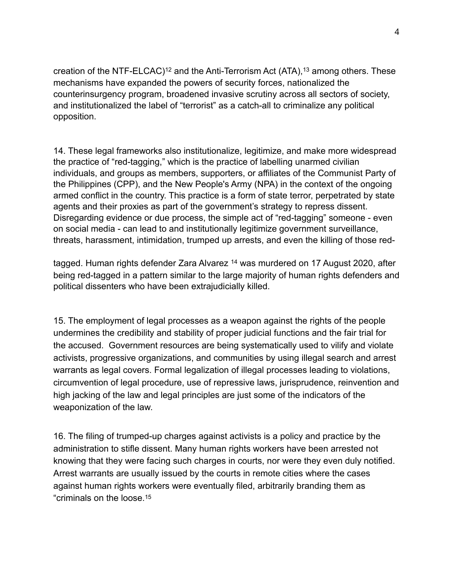<span id="page-3-1"></span><span id="page-3-0"></span>creation of the NTF-ELCAC)<sup>[12](#page-8-11)</sup> and the Anti-Terrorism Act (ATA),<sup>13</sup> among others. These mechanisms have expanded the powers of security forces, nationalized the counterinsurgency program, broadened invasive scrutiny across all sectors of society, and institutionalized the label of "terrorist" as a catch-all to criminalize any political opposition.

14. These legal frameworks also institutionalize, legitimize, and make more widespread the practice of "red-tagging," which is the practice of labelling unarmed civilian individuals, and groups as members, supporters, or affiliates of the Communist Party of the Philippines (CPP), and the New People's Army (NPA) in the context of the ongoing armed conflict in the country. This practice is a form of state terror, perpetrated by state agents and their proxies as part of the government's strategy to repress dissent. Disregarding evidence or due process, the simple act of "red-tagging" someone - even on social media - can lead to and institutionally legitimize government surveillance, threats, harassment, intimidation, trumped up arrests, and even the killing of those red-

<span id="page-3-2"></span>tagged.Human rights defender Zara Alvarez <sup>[14](#page-8-13)</sup> was murdered on 17 August 2020, after being red-tagged in a pattern similar to the large majority of human rights defenders and political dissenters who have been extrajudicially killed.

15. The employment of legal processes as a weapon against the rights of the people undermines the credibility and stability of proper judicial functions and the fair trial for the accused. Government resources are being systematically used to vilify and violate activists, progressive organizations, and communities by using illegal search and arrest warrants as legal covers. Formal legalization of illegal processes leading to violations, circumvention of legal procedure, use of repressive laws, jurisprudence, reinvention and high jacking of the law and legal principles are just some of the indicators of the weaponization of the law.

<span id="page-3-3"></span>16. The filing of trumped-up charges against activists is a policy and practice by the administration to stifle dissent. Many human rights workers have been arrested not knowing that they were facing such charges in courts, nor were they even duly notified. Arrest warrants are usually issued by the courts in remote cities where the cases against human rights workers were eventually filed, arbitrarily branding them as "criminals on the loose[.15](#page-8-14)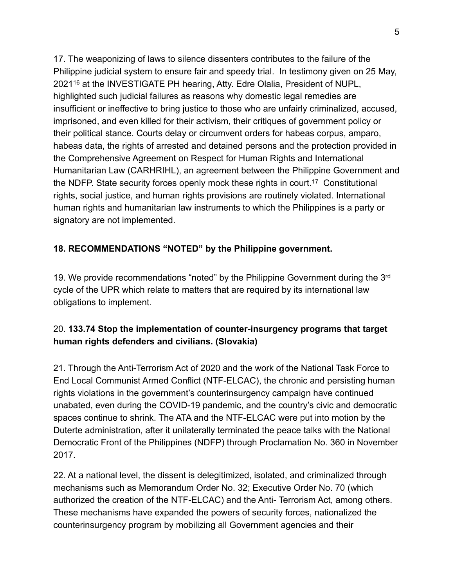<span id="page-4-0"></span>17. The weaponizing of laws to silence dissenters contributes to the failure of the Philippine judicial system to ensure fair and speedy trial. In testimony given on 25 May, 2021<sup>[16](#page-8-15)</sup> at the INVESTIGATE PH hearing, Atty. Edre Olalia, President of NUPL, highlighted such judicial failures as reasons why domestic legal remedies are insufficient or ineffective to bring justice to those who are unfairly criminalized, accused, imprisoned, and even killed for their activism, their critiques of government policy or their political stance. Courts delay or circumvent orders for habeas corpus, amparo, habeas data, the rights of arrested and detained persons and the protection provided in the Comprehensive Agreement on Respect for Human Rights and International Humanitarian Law (CARHRIHL), an agreement between the Philippine Government and theNDFP. State security forces openly mock these rights in court.<sup>[17](#page-8-16)</sup> Constitutional rights, social justice, and human rights provisions are routinely violated. International human rights and humanitarian law instruments to which the Philippines is a party or signatory are not implemented.

### <span id="page-4-1"></span>**18. RECOMMENDATIONS "NOTED" by the Philippine government.**

19. We provide recommendations "noted" by the Philippine Government during the 3<sup>rd</sup> cycle of the UPR which relate to matters that are required by its international law obligations to implement.

## 20. **133.74 Stop the implementation of counter-insurgency programs that target human rights defenders and civilians. (Slovakia)**

21. Through the Anti-Terrorism Act of 2020 and the work of the National Task Force to End Local Communist Armed Conflict (NTF-ELCAC), the chronic and persisting human rights violations in the government's counterinsurgency campaign have continued unabated, even during the COVID-19 pandemic, and the country's civic and democratic spaces continue to shrink. The ATA and the NTF-ELCAC were put into motion by the Duterte administration, after it unilaterally terminated the peace talks with the National Democratic Front of the Philippines (NDFP) through Proclamation No. 360 in November 2017.

22. At a national level, the dissent is delegitimized, isolated, and criminalized through mechanisms such as Memorandum Order No. 32; Executive Order No. 70 (which authorized the creation of the NTF-ELCAC) and the Anti- Terrorism Act, among others. These mechanisms have expanded the powers of security forces, nationalized the counterinsurgency program by mobilizing all Government agencies and their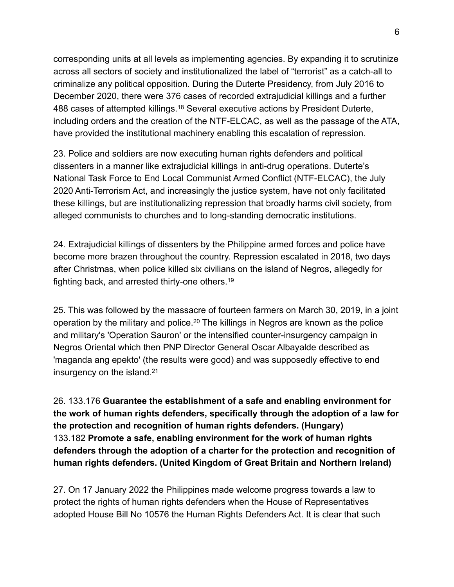corresponding units at all levels as implementing agencies. By expanding it to scrutinize across all sectors of society and institutionalized the label of "terrorist" as a catch-all to criminalize any political opposition. During the Duterte Presidency, from July 2016 to December 2020, there were 376 cases of recorded extrajudicial killings and a further 488 cases of attempted killings.<sup>[18](#page-8-17)</sup> Several executive actions by President Duterte, including orders and the creation of the NTF-ELCAC, as well as the passage of the ATA, have provided the institutional machinery enabling this escalation of repression.

<span id="page-5-0"></span>23. Police and soldiers are now executing human rights defenders and political dissenters in a manner like extrajudicial killings in anti-drug operations. Duterte's National Task Force to End Local Communist Armed Conflict (NTF-ELCAC), the July 2020 Anti-Terrorism Act, and increasingly the justice system, have not only facilitated these killings, but are institutionalizing repression that broadly harms civil society, from alleged communists to churches and to long-standing democratic institutions.

24. Extrajudicial killings of dissenters by the Philippine armed forces and police have become more brazen throughout the country. Repression escalated in 2018, two days after Christmas, when police killed six civilians on the island of Negros, allegedly for fighting back, and arrested thirty-one others.[19](#page-8-18)

<span id="page-5-2"></span><span id="page-5-1"></span>25. This was followed by the massacre of fourteen farmers on March 30, 2019, in a joint operationby the military and police.<sup>[20](#page-8-19)</sup> The killings in Negros are known as the police and military's 'Operation Sauron' or the intensified counter-insurgency campaign in Negros Oriental which then PNP Director General Oscar Albayalde described as 'maganda ang epekto' (the results were good) and was supposedly effective to end insurgency on the island.[21](#page-8-20)

<span id="page-5-3"></span>26. 133.176 **Guarantee the establishment of a safe and enabling environment for the work of human rights defenders, specifically through the adoption of a law for the protection and recognition of human rights defenders. (Hungary)** 133.182 **Promote a safe, enabling environment for the work of human rights defenders through the adoption of a charter for the protection and recognition of human rights defenders. (United Kingdom of Great Britain and Northern Ireland)**

27. On 17 January 2022 the Philippines made welcome progress towards a law to protect the rights of human rights defenders when the House of Representatives adopted House Bill No 10576 the Human Rights Defenders Act. It is clear that such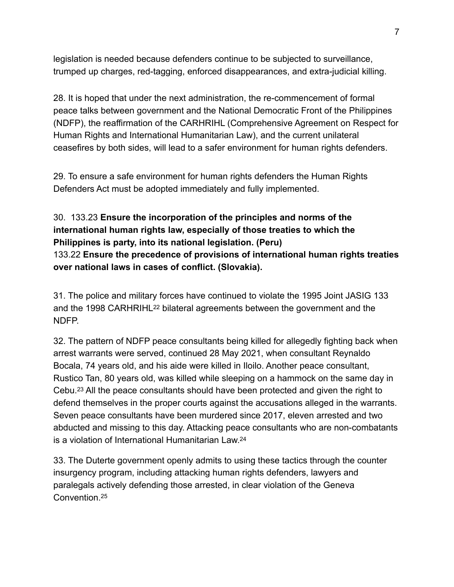legislation is needed because defenders continue to be subjected to surveillance, trumped up charges, red-tagging, enforced disappearances, and extra-judicial killing.

28. It is hoped that under the next administration, the re-commencement of formal peace talks between government and the National Democratic Front of the Philippines (NDFP), the reaffirmation of the CARHRIHL (Comprehensive Agreement on Respect for Human Rights and International Humanitarian Law), and the current unilateral ceasefires by both sides, will lead to a safer environment for human rights defenders.

29. To ensure a safe environment for human rights defenders the Human Rights Defenders Act must be adopted immediately and fully implemented.

# 30. 133.23 **Ensure the incorporation of the principles and norms of the international human rights law, especially of those treaties to which the Philippines is party, into its national legislation. (Peru)** 133.22 **Ensure the precedence of provisions of international human rights treaties over national laws in cases of conflict. (Slovakia).**

<span id="page-6-0"></span>31. The police and military forces have continued to violate the 1995 Joint JASIG 133 and the 1998 CARHRIHL<sup>[22](#page-9-0)</sup> bilateral agreements between the government and the NDFP.

<span id="page-6-1"></span>32. The pattern of NDFP peace consultants being killed for allegedly fighting back when arrest warrants were served, continued 28 May 2021, when consultant Reynaldo Bocala, 74 years old, and his aide were killed in Iloilo. Another peace consultant, Rustico Tan, 80 years old, was killed while sleeping on a hammock on the same day in Cebu.<sup>[23](#page-9-1)</sup> All the peace consultants should have been protected and given the right to defend themselves in the proper courts against the accusations alleged in the warrants. Seven peace consultants have been murdered since 2017, eleven arrested and two abducted and missing to this day. Attacking peace consultants who are non-combatants is a violation of International Humanitarian Law[.24](#page-9-2)

<span id="page-6-3"></span><span id="page-6-2"></span>33. The Duterte government openly admits to using these tactics through the counter insurgency program, including attacking human rights defenders, lawyers and paralegals actively defending those arrested, in clear violation of the Geneva Convention[.25](#page-9-3)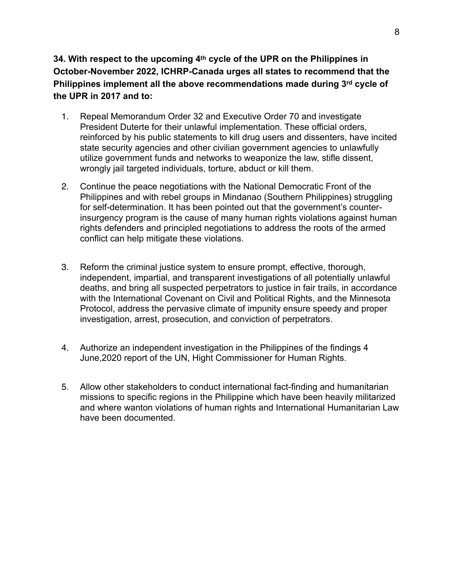**34. With respect to the upcoming 4th cycle of the UPR on the Philippines in October-November 2022, ICHRP-Canada urges all states to recommend that the Philippines implement all the above recommendations made during 3rd cycle of the UPR in 2017 and to:**

- 1. Repeal Memorandum Order 32 and Executive Order 70 and investigate President Duterte for their unlawful implementation. These official orders, reinforced by his public statements to kill drug users and dissenters, have incited state security agencies and other civilian government agencies to unlawfully utilize government funds and networks to weaponize the law, stifle dissent, wrongly jail targeted individuals, torture, abduct or kill them.
- 2. Continue the peace negotiations with the National Democratic Front of the Philippines and with rebel groups in Mindanao (Southern Philippines) struggling for self-determination. It has been pointed out that the government's counterinsurgency program is the cause of many human rights violations against human rights defenders and principled negotiations to address the roots of the armed conflict can help mitigate these violations.
- 3. Reform the criminal justice system to ensure prompt, effective, thorough, independent, impartial, and transparent investigations of all potentially unlawful deaths, and bring all suspected perpetrators to justice in fair trails, in accordance with the International Covenant on Civil and Political Rights, and the Minnesota Protocol, address the pervasive climate of impunity ensure speedy and proper investigation, arrest, prosecution, and conviction of perpetrators.
- 4. Authorize an independent investigation in the Philippines of the findings 4 June,2020 report of the UN, Hight Commissioner for Human Rights.
- 5. Allow other stakeholders to conduct international fact-finding and humanitarian missions to specific regions in the Philippine which have been heavily militarized and where wanton violations of human rights and International Humanitarian Law have been documented.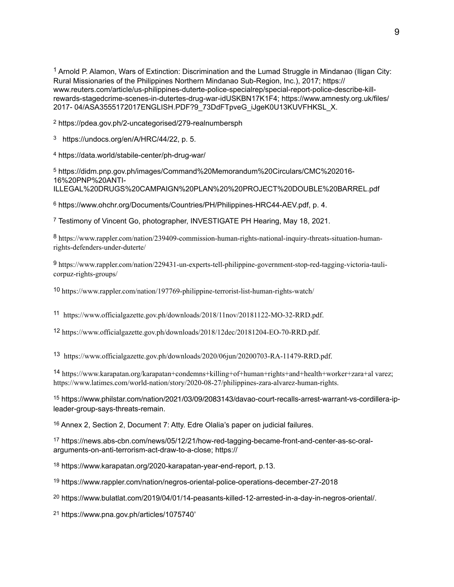<span id="page-8-0"></span><sup>[1](#page-1-0)</sup> Arnold P. Alamon, Wars of Extinction: Discrimination and the Lumad Struggle in Mindanao (Iligan City: Rural Missionaries of the Philippines Northern Mindanao Sub-Region, Inc.), 2017; https:// www.reuters.com/article/us-philippines-duterte-police-specialrep/special-report-police-describe-killrewards-stagedcrime-scenes-in-dutertes-drug-war-idUSKBN17K1F4; https://www.amnesty.org.uk/files/ 2017- 04/ASA3555172017ENGLISH.PDF?9\_73DdFTpveG\_iJgeK0U13KUVFHKSL\_X.

<span id="page-8-1"></span>[2](#page-1-1) <https://pdea.gov.ph/2-uncategorised/279-realnumbersph>

<span id="page-8-2"></span>[3](#page-1-2) https://undocs.org/en/A/HRC/44/22, p. 5.

<span id="page-8-3"></span>https://data.world/stabile-center/ph-drug-war/ [4](#page-1-3)

<span id="page-8-4"></span> https://didm.pnp.gov.ph/images/Command%20Memorandum%20Circulars/CMC%202016- [5](#page-2-0) 16%20PNP%20ANTI-ILLEGAL%20DRUGS%20CAMPAIGN%20PLAN%20%20PROJECT%20DOUBLE%20BARREL.pdf

<span id="page-8-5"></span>[6](#page-2-1) https://www.ohchr.org/Documents/Countries/PH/Philippines-HRC44-AEV.pdf, p. 4.

<span id="page-8-6"></span>Testimony of Vincent Go, photographer, INVESTIGATE PH Hearing, May 18, 2021. [7](#page-2-2)

<span id="page-8-7"></span>https://www.rappler.com/nation/239409-commission-human-rights-national-inquiry-threats-situation-human- [8](#page-2-3) rights-defenders-under-duterte/

<span id="page-8-8"></span> https://www.rappler.com/nation/229431-un-experts-tell-philippine-government-stop-red-tagging-victoria-tauli- [9](#page-2-4) corpuz-rights-groups/

<span id="page-8-9"></span>https://www.rappler.com/nation/197769-philippine-terrorist-list-human-rights-watch/ [10](#page-2-5)

<span id="page-8-10"></span>https://www.officialgazette.gov.ph/downloads/2018/11nov/20181122-MO-32-RRD.pdf. [11](#page-2-6)

<span id="page-8-11"></span><sup>[12](#page-3-0)</sup> https://www.officialgazette.gov.ph/downloads/2018/12dec/20181204-EO-70-RRD.pdf.

<span id="page-8-12"></span>https://www.officialgazette.gov.ph/downloads/2020/06jun/20200703-RA-11479-RRD.pdf. [13](#page-3-1)

<span id="page-8-13"></span>https://www.karapatan.org/karapatan+condemns+killing+of+human+rights+and+health+worker+zara+al varez; [14](#page-3-2) https://www.latimes.com/world-nation/story/2020-08-27/philippines-zara-alvarez-human-rights.

<span id="page-8-14"></span>[15](#page-3-3) https://www.philstar.com/nation/2021/03/09/2083143/davao-court-recalls-arrest-warrant-vs-cordillera-ipleader-group-says-threats-remain.

<span id="page-8-15"></span><sup>[16](#page-4-0)</sup> Annex 2, Section 2, Document 7: Atty. Edre Olalia's paper on judicial failures.

<span id="page-8-16"></span><sup>[17](#page-4-1)</sup> https://news.abs-cbn.com/news/05/12/21/how-red-tagging-became-front-and-center-as-sc-oralarguments-on-anti-terrorism-act-draw-to-a-close; https://

<span id="page-8-17"></span>[18](#page-5-0) https://www.karapatan.org/2020-karapatan-year-end-report, p.13.

<span id="page-8-18"></span>[19](#page-5-1) https://www.rappler.com/nation/negros-oriental-police-operations-december-27-2018

<span id="page-8-19"></span><sup>[20](#page-5-2)</sup> https://www.bulatlat.com/2019/04/01/14-peasants-killed-12-arrested-in-a-day-in-negros-oriental/.

<span id="page-8-20"></span>[https://www.pna.gov.ph/articles/1075740](https://www.pna.gov.ph/articles/1075740%252525252525E2%25252525252580%25252525252599)' [21](#page-5-3)